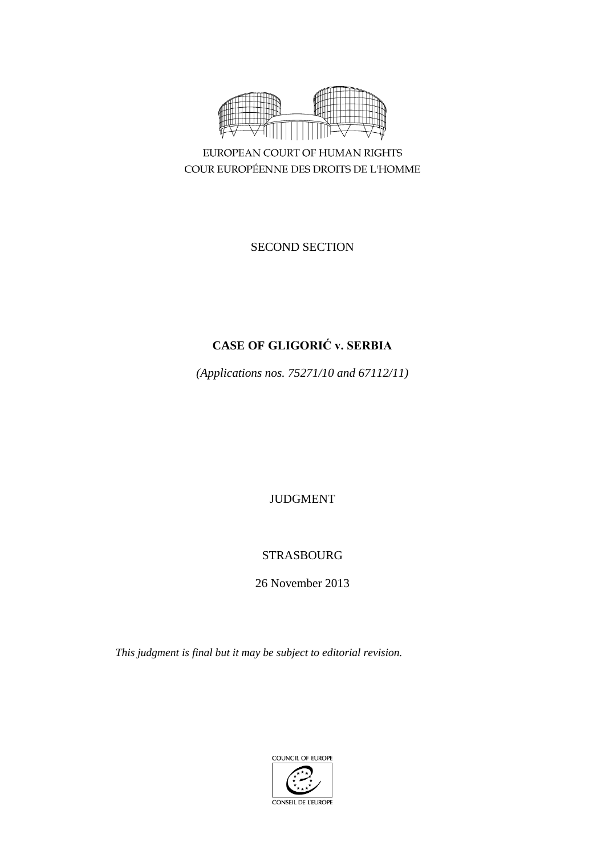

EUROPEAN COURT OF HUMAN RIGHTS COUR EUROPÉENNE DES DROITS DE L'HOMME

SECOND SECTION

# **CASE OF GLIGORIĆ v. SERBIA**

*(Applications nos. 75271/10 and 67112/11)*

JUDGMENT

## STRASBOURG

26 November 2013

*This judgment is final but it may be subject to editorial revision.*

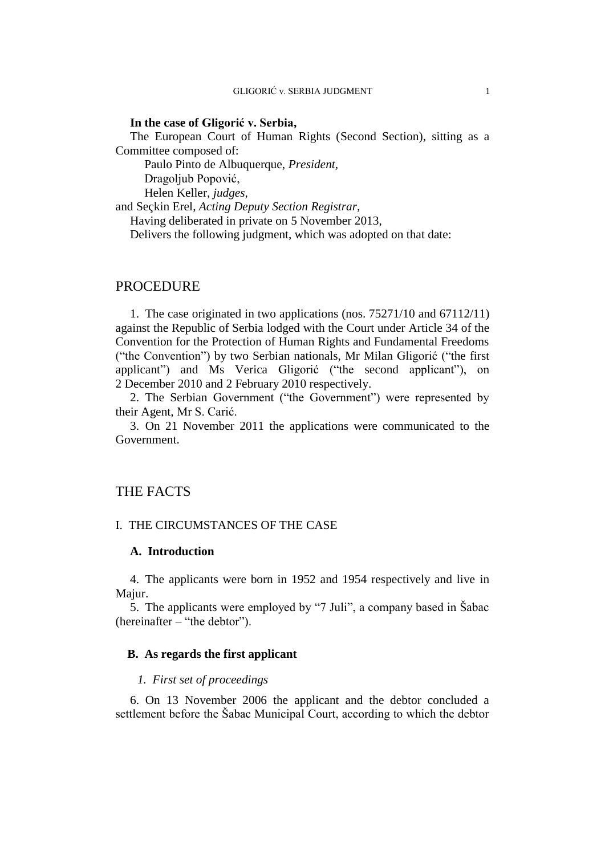### **In the case of Gligorić v. Serbia,**

The European Court of Human Rights (Second Section), sitting as a Committee composed of:

Paulo Pinto de Albuquerque, *President,*

Dragoljub Popović,

Helen Keller, *judges,*

and Seçkin Erel, *Acting Deputy Section Registrar,*

Having deliberated in private on 5 November 2013,

Delivers the following judgment, which was adopted on that date:

## PROCEDURE

1. The case originated in two applications (nos. 75271/10 and 67112/11) against the Republic of Serbia lodged with the Court under Article 34 of the Convention for the Protection of Human Rights and Fundamental Freedoms ("the Convention") by two Serbian nationals, Mr Milan Gligorić ("the first applicant") and Ms Verica Gligorić ("the second applicant"), on 2 December 2010 and 2 February 2010 respectively.

2. The Serbian Government ("the Government") were represented by their Agent, Mr S. Carić.

3. On 21 November 2011 the applications were communicated to the Government.

## THE FACTS

### I. THE CIRCUMSTANCES OF THE CASE

## **A. Introduction**

4. The applicants were born in 1952 and 1954 respectively and live in Majur.

5. The applicants were employed by "7 Juli", a company based in Šabac (hereinafter – "the debtor").

## **B. As regards the first applicant**

#### *1. First set of proceedings*

6. On 13 November 2006 the applicant and the debtor concluded a settlement before the Šabac Municipal Court, according to which the debtor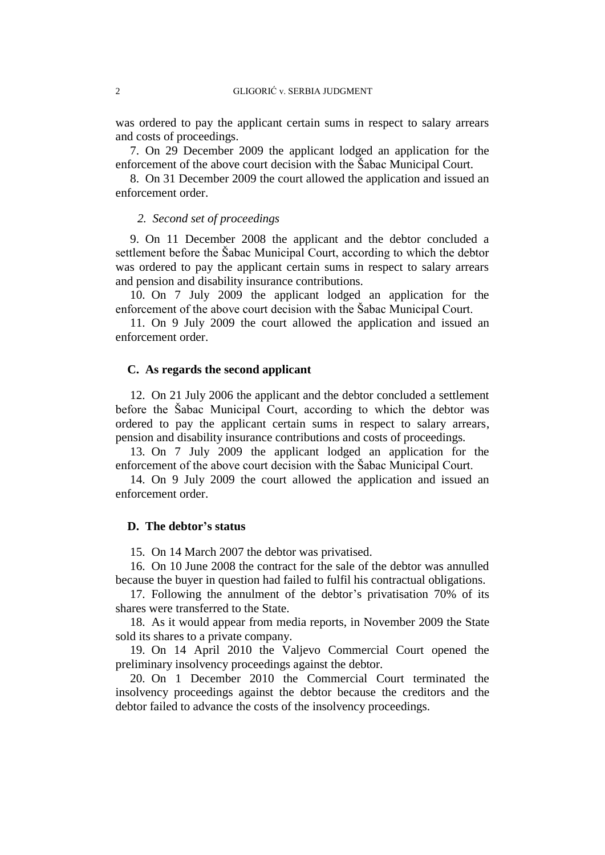was ordered to pay the applicant certain sums in respect to salary arrears and costs of proceedings.

7. On 29 December 2009 the applicant lodged an application for the enforcement of the above court decision with the Šabac Municipal Court.

8. On 31 December 2009 the court allowed the application and issued an enforcement order.

## *2. Second set of proceedings*

9. On 11 December 2008 the applicant and the debtor concluded a settlement before the Šabac Municipal Court, according to which the debtor was ordered to pay the applicant certain sums in respect to salary arrears and pension and disability insurance contributions.

10. On 7 July 2009 the applicant lodged an application for the enforcement of the above court decision with the Šabac Municipal Court.

11. On 9 July 2009 the court allowed the application and issued an enforcement order.

#### **C. As regards the second applicant**

12. On 21 July 2006 the applicant and the debtor concluded a settlement before the Šabac Municipal Court, according to which the debtor was ordered to pay the applicant certain sums in respect to salary arrears, pension and disability insurance contributions and costs of proceedings.

13. On 7 July 2009 the applicant lodged an application for the enforcement of the above court decision with the Šabac Municipal Court.

14. On 9 July 2009 the court allowed the application and issued an enforcement order.

#### **D. The debtor's status**

15. On 14 March 2007 the debtor was privatised.

16. On 10 June 2008 the contract for the sale of the debtor was annulled because the buyer in question had failed to fulfil his contractual obligations.

17. Following the annulment of the debtor's privatisation 70% of its shares were transferred to the State.

18. As it would appear from media reports, in November 2009 the State sold its shares to a private company.

19. On 14 April 2010 the Valjevo Commercial Court opened the preliminary insolvency proceedings against the debtor.

20. On 1 December 2010 the Commercial Court terminated the insolvency proceedings against the debtor because the creditors and the debtor failed to advance the costs of the insolvency proceedings.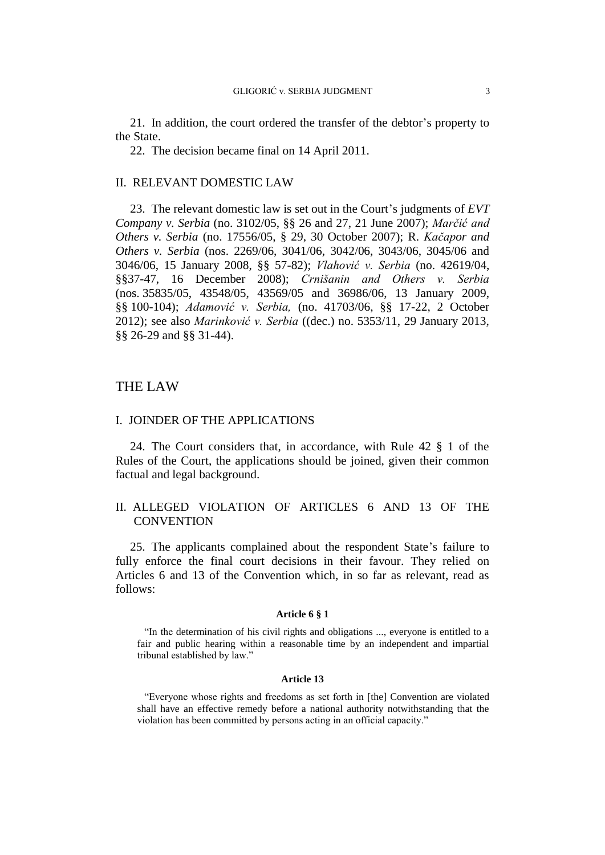21. In addition, the court ordered the transfer of the debtor's property to the State.

22. The decision became final on 14 April 2011.

#### II. RELEVANT DOMESTIC LAW

23. The relevant domestic law is set out in the Court's judgments of *EVT Company v. Serbia* (no. 3102/05, §§ 26 and 27, 21 June 2007); *Marčić and Others v. Serbia* (no. 17556/05, § 29, 30 October 2007); R. *Kačapor and Others v. Serbia* (nos. 2269/06, 3041/06, 3042/06, 3043/06, 3045/06 and 3046/06, 15 January 2008, §§ 57-82); *Vlahović v. Serbia* (no. 42619/04, §§37-47, 16 December 2008); *Crnišanin and Others v. Serbia* (nos. 35835/05, 43548/05, 43569/05 and 36986/06, 13 January 2009, §§ 100-104); *Adamović v. Serbia,* (no. 41703/06, §§ 17-22, 2 October 2012); see also *Marinković v. Serbia* ((dec.) no. 5353/11, 29 January 2013, §§ 26-29 and §§ 31-44).

## THE LAW

## I. JOINDER OF THE APPLICATIONS

24. The Court considers that, in accordance, with Rule 42 § 1 of the Rules of the Court, the applications should be joined, given their common factual and legal background.

## II. ALLEGED VIOLATION OF ARTICLES 6 AND 13 OF THE **CONVENTION**

25. The applicants complained about the respondent State's failure to fully enforce the final court decisions in their favour. They relied on Articles 6 and 13 of the Convention which, in so far as relevant, read as follows:

#### **Article 6 § 1**

"In the determination of his civil rights and obligations ..., everyone is entitled to a fair and public hearing within a reasonable time by an independent and impartial tribunal established by law."

#### **Article 13**

"Everyone whose rights and freedoms as set forth in [the] Convention are violated shall have an effective remedy before a national authority notwithstanding that the violation has been committed by persons acting in an official capacity."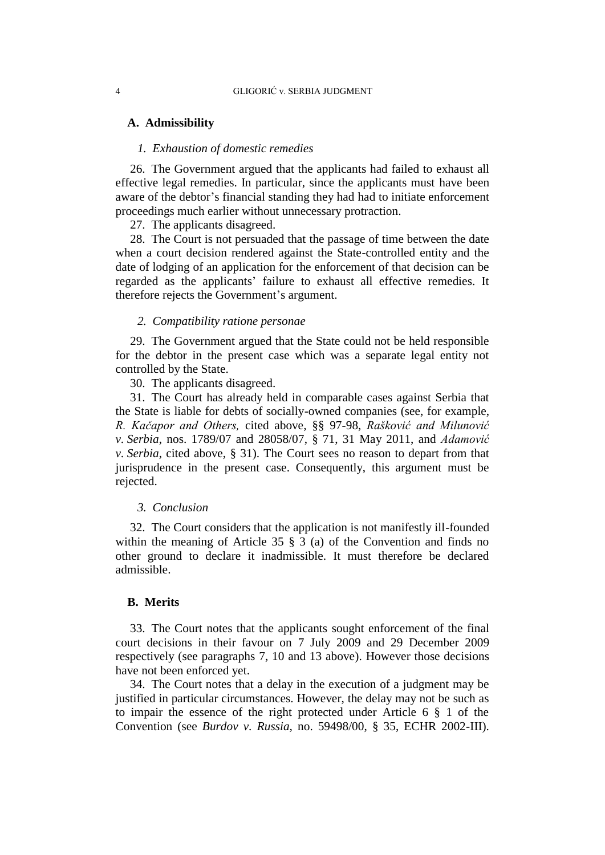#### **A. Admissibility**

## *1. Exhaustion of domestic remedies*

26. The Government argued that the applicants had failed to exhaust all effective legal remedies. In particular, since the applicants must have been aware of the debtor's financial standing they had had to initiate enforcement proceedings much earlier without unnecessary protraction.

27. The applicants disagreed.

28. The Court is not persuaded that the passage of time between the date when a court decision rendered against the State-controlled entity and the date of lodging of an application for the enforcement of that decision can be regarded as the applicants' failure to exhaust all effective remedies. It therefore rejects the Government's argument.

#### *2. Compatibility ratione personae*

29. The Government argued that the State could not be held responsible for the debtor in the present case which was a separate legal entity not controlled by the State.

30. The applicants disagreed.

31. The Court has already held in comparable cases against Serbia that the State is liable for debts of socially-owned companies (see, for example, *R. Kačapor and Others,* cited above*,* §§ 97-98, *Rašković and Milunović v. Serbia*, nos. 1789/07 and 28058/07, § 71, 31 May 2011, and *Adamović v. Serbia*, cited above, § 31). The Court sees no reason to depart from that jurisprudence in the present case. Consequently, this argument must be rejected.

### *3. Conclusion*

32. The Court considers that the application is not manifestly ill-founded within the meaning of Article 35 § 3 (a) of the Convention and finds no other ground to declare it inadmissible. It must therefore be declared admissible.

#### **B. Merits**

33. The Court notes that the applicants sought enforcement of the final court decisions in their favour on 7 July 2009 and 29 December 2009 respectively (see paragraphs 7, 10 and 13 above). However those decisions have not been enforced yet.

34. The Court notes that a delay in the execution of a judgment may be justified in particular circumstances. However, the delay may not be such as to impair the essence of the right protected under Article 6 § 1 of the Convention (see *Burdov v. Russia,* no. 59498/00, § 35, ECHR 2002-III).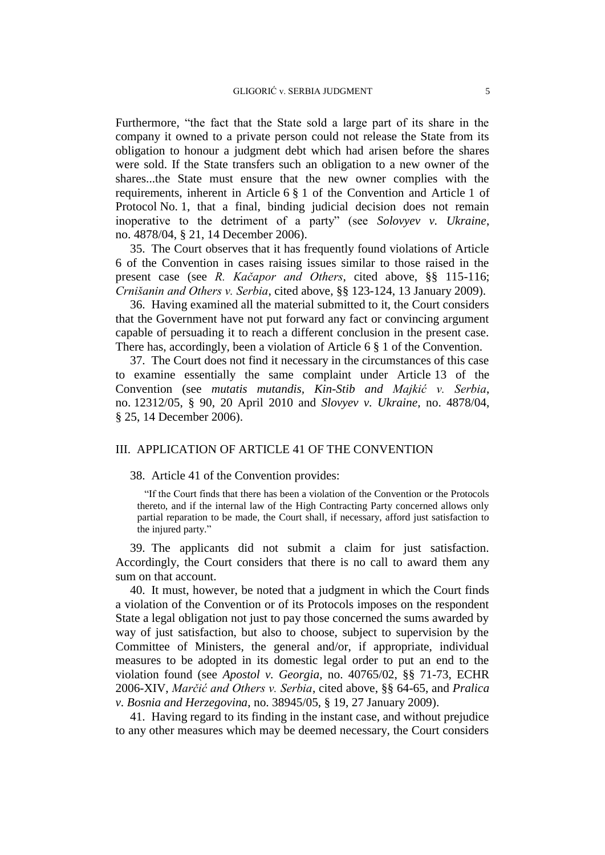Furthermore, "the fact that the State sold a large part of its share in the company it owned to a private person could not release the State from its obligation to honour a judgment debt which had arisen before the shares were sold. If the State transfers such an obligation to a new owner of the shares...the State must ensure that the new owner complies with the requirements, inherent in Article 6 § 1 of the Convention and Article 1 of Protocol No. 1, that a final, binding judicial decision does not remain inoperative to the detriment of a party" (see *Solovyev v. Ukraine*, no. 4878/04, § 21, 14 December 2006).

35. The Court observes that it has frequently found violations of Article 6 of the Convention in cases raising issues similar to those raised in the present case (see *R. Kačapor and Others*, cited above, §§ 115-116; *Crnišanin and Others v. Serbia*, cited above, §§ 123-124, 13 January 2009).

36. Having examined all the material submitted to it, the Court considers that the Government have not put forward any fact or convincing argument capable of persuading it to reach a different conclusion in the present case. There has, accordingly, been a violation of Article 6 § 1 of the Convention.

37. The Court does not find it necessary in the circumstances of this case to examine essentially the same complaint under Article 13 of the Convention (see *mutatis mutandis, Kin-Stib and Majkić v. Serbia*, no. 12312/05, § 90, 20 April 2010 and *Slovyev v. Ukraine,* no. 4878/04, § 25, 14 December 2006).

## III. APPLICATION OF ARTICLE 41 OF THE CONVENTION

#### 38. Article 41 of the Convention provides:

"If the Court finds that there has been a violation of the Convention or the Protocols thereto, and if the internal law of the High Contracting Party concerned allows only partial reparation to be made, the Court shall, if necessary, afford just satisfaction to the injured party."

39. The applicants did not submit a claim for just satisfaction. Accordingly, the Court considers that there is no call to award them any sum on that account.

40. It must, however, be noted that a judgment in which the Court finds a violation of the Convention or of its Protocols imposes on the respondent State a legal obligation not just to pay those concerned the sums awarded by way of just satisfaction, but also to choose, subject to supervision by the Committee of Ministers, the general and/or, if appropriate, individual measures to be adopted in its domestic legal order to put an end to the violation found (see *Apostol v. Georgia*, no. 40765/02, §§ 71-73, ECHR 2006-XIV, *Marčić and Others v. Serbia*, cited above, §§ 64-65, and *Pralica v. Bosnia and Herzegovina*, no. 38945/05, § 19, 27 January 2009).

41. Having regard to its finding in the instant case, and without prejudice to any other measures which may be deemed necessary, the Court considers